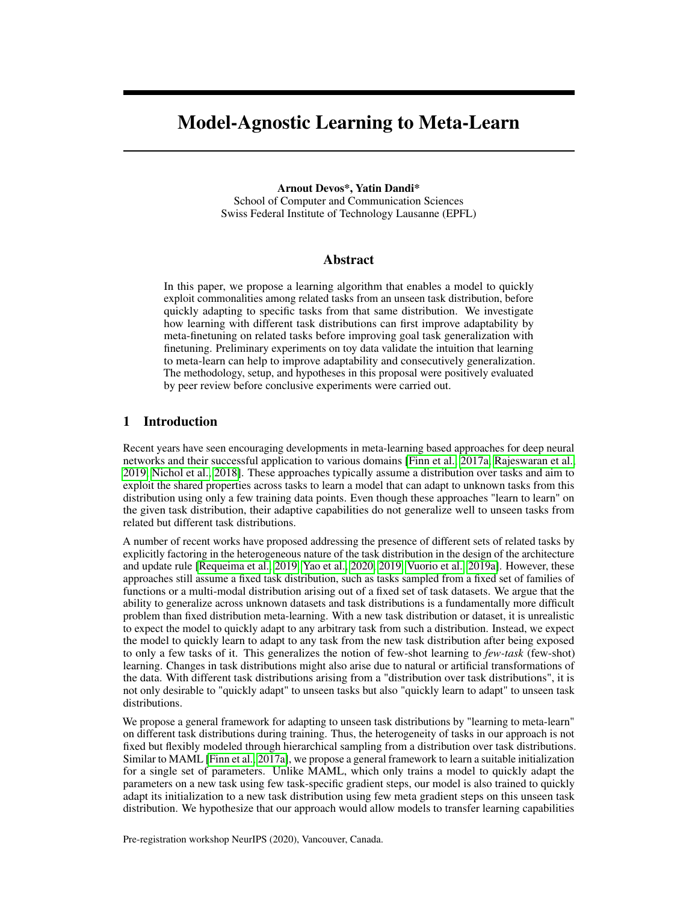# Model-Agnostic Learning to Meta-Learn

Arnout Devos\*, Yatin Dandi\* School of Computer and Communication Sciences Swiss Federal Institute of Technology Lausanne (EPFL)

## Abstract

In this paper, we propose a learning algorithm that enables a model to quickly exploit commonalities among related tasks from an unseen task distribution, before quickly adapting to specific tasks from that same distribution. We investigate how learning with different task distributions can first improve adaptability by meta-finetuning on related tasks before improving goal task generalization with finetuning. Preliminary experiments on toy data validate the intuition that learning to meta-learn can help to improve adaptability and consecutively generalization. The methodology, setup, and hypotheses in this proposal were positively evaluated by peer review before conclusive experiments were carried out.

## 1 Introduction

Recent years have seen encouraging developments in meta-learning based approaches for deep neural networks and their successful application to various domains [\[Finn et al., 2017a,](#page-5-0) [Rajeswaran et al.,](#page-6-0) [2019,](#page-6-0) [Nichol et al., 2018\]](#page-6-1). These approaches typically assume a distribution over tasks and aim to exploit the shared properties across tasks to learn a model that can adapt to unknown tasks from this distribution using only a few training data points. Even though these approaches "learn to learn" on the given task distribution, their adaptive capabilities do not generalize well to unseen tasks from related but different task distributions.

A number of recent works have proposed addressing the presence of different sets of related tasks by explicitly factoring in the heterogeneous nature of the task distribution in the design of the architecture and update rule [\[Requeima et al., 2019,](#page-6-2) [Yao et al., 2020,](#page-6-3) [2019,](#page-6-4) [Vuorio et al., 2019a\]](#page-6-5). However, these approaches still assume a fixed task distribution, such as tasks sampled from a fixed set of families of functions or a multi-modal distribution arising out of a fixed set of task datasets. We argue that the ability to generalize across unknown datasets and task distributions is a fundamentally more difficult problem than fixed distribution meta-learning. With a new task distribution or dataset, it is unrealistic to expect the model to quickly adapt to any arbitrary task from such a distribution. Instead, we expect the model to quickly learn to adapt to any task from the new task distribution after being exposed to only a few tasks of it. This generalizes the notion of few-shot learning to *few-task* (few-shot) learning. Changes in task distributions might also arise due to natural or artificial transformations of the data. With different task distributions arising from a "distribution over task distributions", it is not only desirable to "quickly adapt" to unseen tasks but also "quickly learn to adapt" to unseen task distributions.

We propose a general framework for adapting to unseen task distributions by "learning to meta-learn" on different task distributions during training. Thus, the heterogeneity of tasks in our approach is not fixed but flexibly modeled through hierarchical sampling from a distribution over task distributions. Similar to MAML [\[Finn et al., 2017a\]](#page-5-0), we propose a general framework to learn a suitable initialization for a single set of parameters. Unlike MAML, which only trains a model to quickly adapt the parameters on a new task using few task-specific gradient steps, our model is also trained to quickly adapt its initialization to a new task distribution using few meta gradient steps on this unseen task distribution. We hypothesize that our approach would allow models to transfer learning capabilities

Pre-registration workshop NeurIPS (2020), Vancouver, Canada.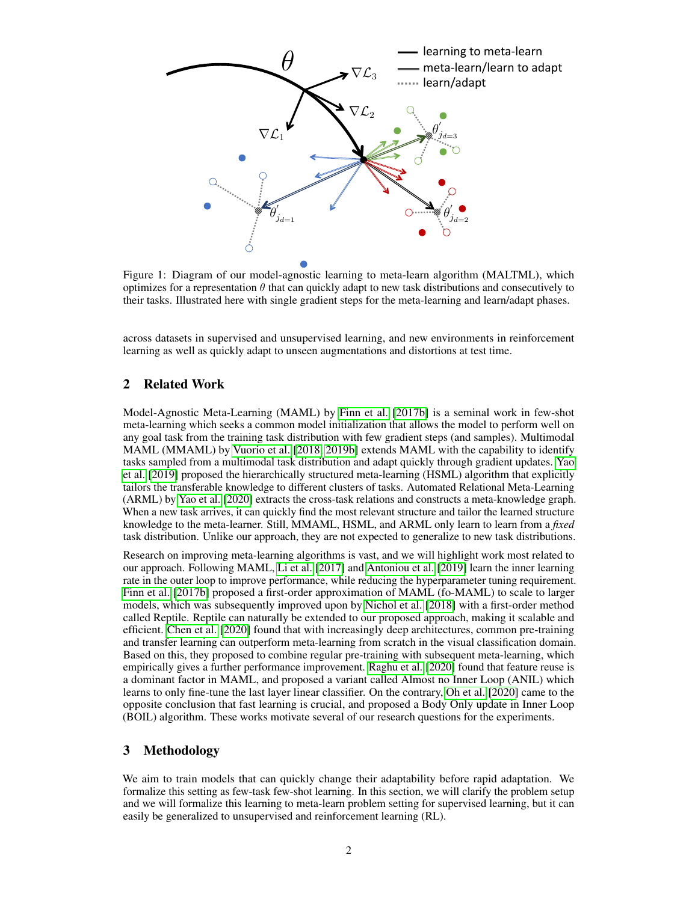

Figure 1: Diagram of our model-agnostic learning to meta-learn algorithm (MALTML), which optimizes for a representation  $\theta$  that can quickly adapt to new task distributions and consecutively to their tasks. Illustrated here with single gradient steps for the meta-learning and learn/adapt phases.

across datasets in supervised and unsupervised learning, and new environments in reinforcement learning as well as quickly adapt to unseen augmentations and distortions at test time.

## 2 Related Work

Model-Agnostic Meta-Learning (MAML) by [Finn et al.](#page-5-1) [\[2017b\]](#page-5-1) is a seminal work in few-shot meta-learning which seeks a common model initialization that allows the model to perform well on any goal task from the training task distribution with few gradient steps (and samples). Multimodal MAML (MMAML) by [Vuorio et al.](#page-6-6) [\[2018,](#page-6-6) [2019b\]](#page-6-7) extends MAML with the capability to identify tasks sampled from a multimodal task distribution and adapt quickly through gradient updates. [Yao](#page-6-4) [et al.](#page-6-4) [\[2019\]](#page-6-4) proposed the hierarchically structured meta-learning (HSML) algorithm that explicitly tailors the transferable knowledge to different clusters of tasks. Automated Relational Meta-Learning (ARML) by [Yao et al.](#page-6-3) [\[2020\]](#page-6-3) extracts the cross-task relations and constructs a meta-knowledge graph. When a new task arrives, it can quickly find the most relevant structure and tailor the learned structure knowledge to the meta-learner. Still, MMAML, HSML, and ARML only learn to learn from a *fixed* task distribution. Unlike our approach, they are not expected to generalize to new task distributions.

Research on improving meta-learning algorithms is vast, and we will highlight work most related to our approach. Following MAML, [Li et al.](#page-5-2) [\[2017\]](#page-5-2) and [Antoniou et al.](#page-5-3) [\[2019\]](#page-5-3) learn the inner learning rate in the outer loop to improve performance, while reducing the hyperparameter tuning requirement. [Finn et al.](#page-5-1) [\[2017b\]](#page-5-1) proposed a first-order approximation of MAML (fo-MAML) to scale to larger models, which was subsequently improved upon by [Nichol et al.](#page-6-1) [\[2018\]](#page-6-1) with a first-order method called Reptile. Reptile can naturally be extended to our proposed approach, making it scalable and efficient. [Chen et al.](#page-5-4) [\[2020\]](#page-5-4) found that with increasingly deep architectures, common pre-training and transfer learning can outperform meta-learning from scratch in the visual classification domain. Based on this, they proposed to combine regular pre-training with subsequent meta-learning, which empirically gives a further performance improvement. [Raghu et al.](#page-6-8) [\[2020\]](#page-6-8) found that feature reuse is a dominant factor in MAML, and proposed a variant called Almost no Inner Loop (ANIL) which learns to only fine-tune the last layer linear classifier. On the contrary, [Oh et al.](#page-6-9) [\[2020\]](#page-6-9) came to the opposite conclusion that fast learning is crucial, and proposed a Body Only update in Inner Loop (BOIL) algorithm. These works motivate several of our research questions for the experiments.

# 3 Methodology

We aim to train models that can quickly change their adaptability before rapid adaptation. We formalize this setting as few-task few-shot learning. In this section, we will clarify the problem setup and we will formalize this learning to meta-learn problem setting for supervised learning, but it can easily be generalized to unsupervised and reinforcement learning (RL).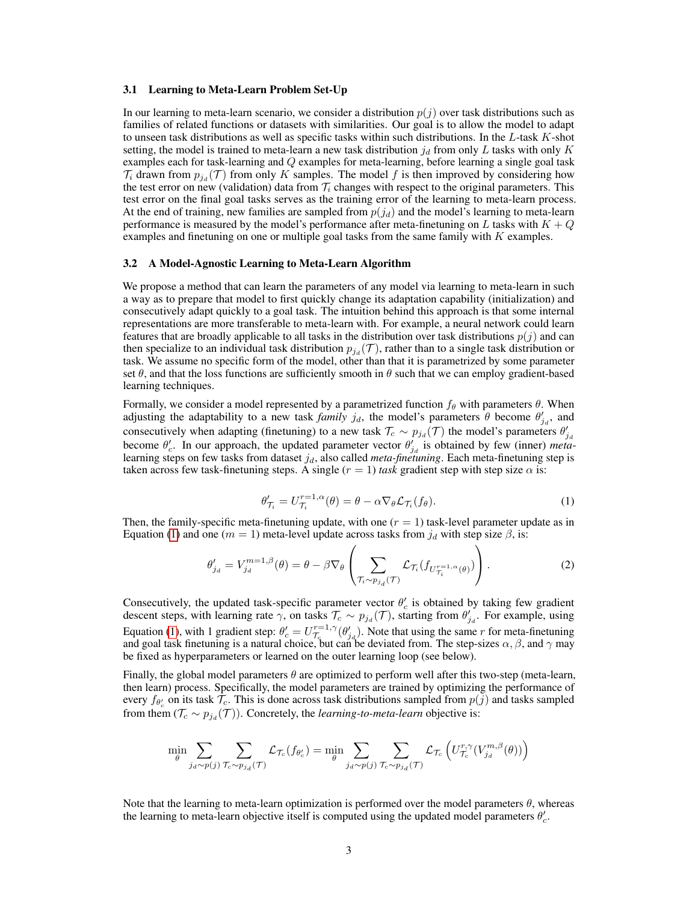#### 3.1 Learning to Meta-Learn Problem Set-Up

In our learning to meta-learn scenario, we consider a distribution  $p(j)$  over task distributions such as families of related functions or datasets with similarities. Our goal is to allow the model to adapt to unseen task distributions as well as specific tasks within such distributions. In the  $L$ -task  $K$ -shot setting, the model is trained to meta-learn a new task distribution  $j_d$  from only L tasks with only K examples each for task-learning and Q examples for meta-learning, before learning a single goal task  $\mathcal{T}_i$  drawn from  $p_{j_d}(\mathcal{T})$  from only K samples. The model f is then improved by considering how the test error on new (validation) data from  $\mathcal{T}_i$  changes with respect to the original parameters. This test error on the final goal tasks serves as the training error of the learning to meta-learn process. At the end of training, new families are sampled from  $p(j_d)$  and the model's learning to meta-learn performance is measured by the model's performance after meta-finetuning on L tasks with  $K + Q$ examples and finetuning on one or multiple goal tasks from the same family with K examples.

#### 3.2 A Model-Agnostic Learning to Meta-Learn Algorithm

We propose a method that can learn the parameters of any model via learning to meta-learn in such a way as to prepare that model to first quickly change its adaptation capability (initialization) and consecutively adapt quickly to a goal task. The intuition behind this approach is that some internal representations are more transferable to meta-learn with. For example, a neural network could learn features that are broadly applicable to all tasks in the distribution over task distributions  $p(j)$  and can then specialize to an individual task distribution  $p_{j_d}(\mathcal{T})$ , rather than to a single task distribution or task. We assume no specific form of the model, other than that it is parametrized by some parameter set  $\theta$ , and that the loss functions are sufficiently smooth in  $\theta$  such that we can employ gradient-based learning techniques.

Formally, we consider a model represented by a parametrized function  $f_\theta$  with parameters  $\theta$ . When adjusting the adaptability to a new task *family*  $j_d$ , the model's parameters  $\hat{\theta}$  become  $\theta'_{j_d}$ , and consecutively when adapting (finetuning) to a new task  $\mathcal{T}_c \sim p_{j_d}(\mathcal{T})$  the model's parameters  $\theta'_{j_d}$  become  $\theta'_{c}$ . In our approach, the updated parameter vector  $\theta'_{j_d}$  is obtained by few (inner) *meta*learning steps on few tasks from dataset  $j_d$ , also called *meta-finetuning*. Each meta-finetuning step is taken across few task-finetuning steps. A single  $(r = 1)$  task gradient step with step size  $\alpha$  is:

$$
\theta'_{\mathcal{T}_i} = U_{\mathcal{T}_i}^{r=1,\alpha}(\theta) = \theta - \alpha \nabla_{\theta} \mathcal{L}_{\mathcal{T}_i}(f_{\theta}). \tag{1}
$$

<span id="page-2-0"></span>Then, the family-specific meta-finetuning update, with one  $(r = 1)$  task-level parameter update as in Equation [\(1\)](#page-2-0) and one ( $m = 1$ ) meta-level update across tasks from  $j_d$  with step size  $\beta$ , is:

$$
\theta'_{j_d} = V_{j_d}^{m=1,\beta}(\theta) = \theta - \beta \nabla_{\theta} \left( \sum_{\mathcal{T}_i \sim p_{j_d}(\mathcal{T})} \mathcal{L}_{\mathcal{T}_i} (f_{U_{\mathcal{T}_i}^{r=1,\alpha}(\theta)}) \right).
$$
 (2)

Consecutively, the updated task-specific parameter vector  $\theta'_{c}$  is obtained by taking few gradient descent steps, with learning rate  $\gamma$ , on tasks  $\mathcal{T}_c \sim p_{j_d}(\mathcal{T})$ , starting from  $\theta'_{j_d}$ . For example, using Equation [\(1\)](#page-2-0), with 1 gradient step:  $\theta'_{c} = U_{\tau_{c}}^{r=1,\gamma}(\theta'_{j_{d}})$ . Note that using the same r for meta-finetuning and goal task finetuning is a natural choice, but can be deviated from. The step-sizes  $\alpha, \beta$ , and  $\gamma$  may be fixed as hyperparameters or learned on the outer learning loop (see below).

Finally, the global model parameters  $\theta$  are optimized to perform well after this two-step (meta-learn, then learn) process. Specifically, the model parameters are trained by optimizing the performance of every  $f_{\theta'_{c}}$  on its task  $\mathcal{T}_{c}$ . This is done across task distributions sampled from  $p(j)$  and tasks sampled from them  $(\mathcal{T}_c \sim p_{j_d}(\mathcal{T}))$ . Concretely, the *learning-to-meta-learn* objective is:

$$
\min_{\theta} \sum_{j_d \sim p(j)} \sum_{\mathcal{T}_c \sim p_{j_d}(\mathcal{T})} \mathcal{L}_{\mathcal{T}_c}(f_{\theta_c'}) = \min_{\theta} \sum_{j_d \sim p(j)} \sum_{\mathcal{T}_c \sim p_{j_d}(\mathcal{T})} \mathcal{L}_{\mathcal{T}_c} \left( U_{\mathcal{T}_c}^{r,\gamma}(V_{j_d}^{m,\beta}(\theta)) \right)
$$

Note that the learning to meta-learn optimization is performed over the model parameters  $\theta$ , whereas the learning to meta-learn objective itself is computed using the updated model parameters  $\theta_c'$ .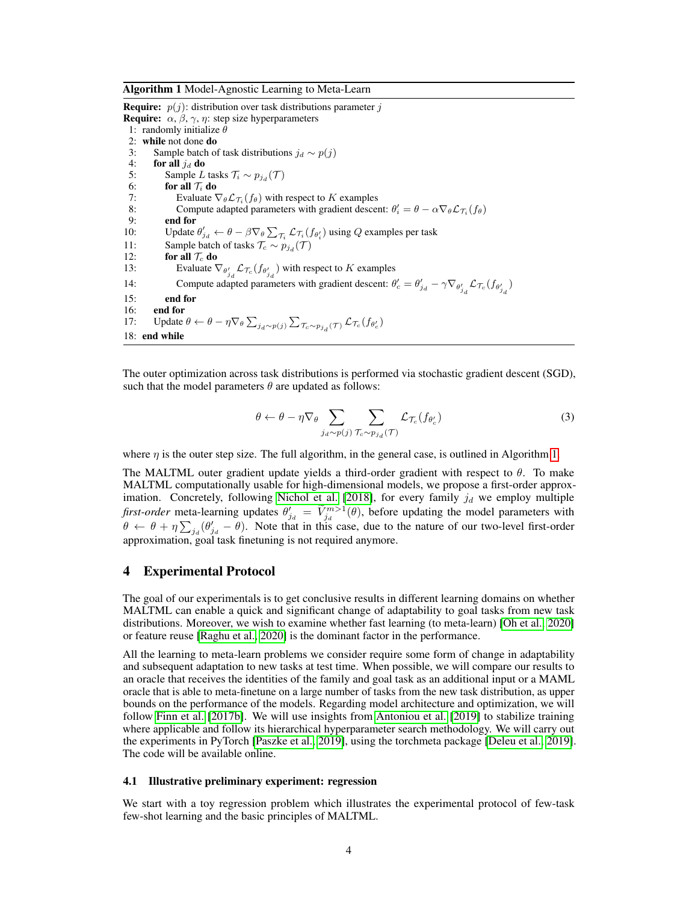<span id="page-3-0"></span>Algorithm 1 Model-Agnostic Learning to Meta-Learn

**Require:**  $p(j)$ : distribution over task distributions parameter j **Require:**  $\alpha$ ,  $\beta$ ,  $\gamma$ ,  $\eta$ : step size hyperparameters 1: randomly initialize  $\theta$ 2: while not done do 3: Sample batch of task distributions  $j_d \sim p(j)$ <br>4: **for all**  $j_d$  **do** 4: **for all**  $j_d$  **do**<br>5: **Sample**  $L$ 5: Sample *L* tasks  $\mathcal{T}_i \sim p_{j_d}(\mathcal{T})$ 6: **for all**  $\mathcal{T}_i$  **do**<br>7: **Evaluate** 7: Evaluate  $\nabla_{\theta} \mathcal{L}_{\mathcal{T}_i}(f_{\theta})$  with respect to K examples 8: Compute adapted parameters with gradient descent:  $\theta_i' = \theta - \alpha \nabla_{\theta} \mathcal{L}_{\mathcal{T}_i}(f_{\theta})$ 9: end for 10: Update  $\theta'_{j_d} \leftarrow \theta - \beta \nabla_{\theta} \sum_{\tau_i} \mathcal{L}_{\tau_i}(f_{\theta'_i})$  using  $Q$  examples per task 11: Sample batch of tasks  $\mathcal{T}_c \sim p_{j_d}(\mathcal{T})$ 12: **for all**  $\mathcal{T}_c$  **do**<br>13: **Evaluate** 13: Evaluate  $\nabla_{\theta'_{j_d}} \mathcal{L}_{\mathcal{T}_c}(f_{\theta'_{j_d}})$  with respect to K examples 14: Compute adapted parameters with gradient descent:  $\theta'_c = \theta'_{j_d} - \gamma \nabla_{\theta'_{j_d}} \mathcal{L}_{\tau_c}(f_{\theta'_{j_d}})$ 15: end for 16: end for 17: Update  $\theta \leftarrow \theta - \eta \nabla_{\theta} \sum_{j_d \sim p(j)} \sum_{\tau_c \sim p_{j_d}(\tau)} \mathcal{L}_{\tau_c}(f_{\theta_c})$ 18: end while

The outer optimization across task distributions is performed via stochastic gradient descent (SGD), such that the model parameters  $\theta$  are updated as follows:

$$
\theta \leftarrow \theta - \eta \nabla_{\theta} \sum_{j_d \sim p(j)} \sum_{\mathcal{T}_c \sim p_{j_d}(\mathcal{T})} \mathcal{L}_{\mathcal{T}_c}(f_{\theta_c'}) \tag{3}
$$

where  $\eta$  is the outer step size. The full algorithm, in the general case, is outlined in Algorithm [1.](#page-3-0)

The MALTML outer gradient update yields a third-order gradient with respect to  $\theta$ . To make MALTML computationally usable for high-dimensional models, we propose a first-order approx-imation. Concretely, following [Nichol et al.](#page-6-1) [\[2018\]](#page-6-1), for every family  $j_d$  we employ multiple *first-order* meta-learning updates  $\theta'_{j_d} = \tilde{V}^{m>1}_{j_d}(\theta)$ , before updating the model parameters with  $\theta \leftarrow \theta + \eta \sum_{j_d} (\theta'_{j_d} - \theta)$ . Note that in this case, due to the nature of our two-level first-order approximation, goal task finetuning is not required anymore.

#### 4 Experimental Protocol

The goal of our experimentals is to get conclusive results in different learning domains on whether MALTML can enable a quick and significant change of adaptability to goal tasks from new task distributions. Moreover, we wish to examine whether fast learning (to meta-learn) [\[Oh et al., 2020\]](#page-6-9) or feature reuse [\[Raghu et al., 2020\]](#page-6-8) is the dominant factor in the performance.

All the learning to meta-learn problems we consider require some form of change in adaptability and subsequent adaptation to new tasks at test time. When possible, we will compare our results to an oracle that receives the identities of the family and goal task as an additional input or a MAML oracle that is able to meta-finetune on a large number of tasks from the new task distribution, as upper bounds on the performance of the models. Regarding model architecture and optimization, we will follow [Finn et al.](#page-5-1) [\[2017b\]](#page-5-1). We will use insights from [Antoniou et al.](#page-5-3) [\[2019\]](#page-5-3) to stabilize training where applicable and follow its hierarchical hyperparameter search methodology. We will carry out the experiments in PyTorch [\[Paszke et al., 2019\]](#page-6-10), using the torchmeta package [\[Deleu et al., 2019\]](#page-5-5). The code will be available online.

#### <span id="page-3-1"></span>4.1 Illustrative preliminary experiment: regression

We start with a toy regression problem which illustrates the experimental protocol of few-task few-shot learning and the basic principles of MALTML.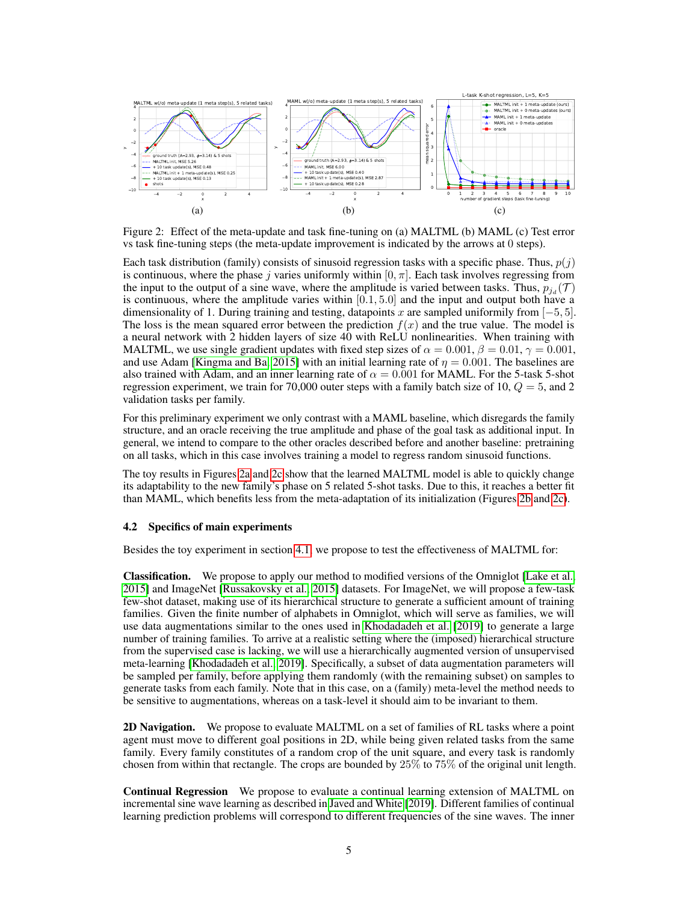<span id="page-4-0"></span>

<span id="page-4-2"></span><span id="page-4-1"></span>Figure 2: Effect of the meta-update and task fine-tuning on (a) MALTML (b) MAML (c) Test error vs task fine-tuning steps (the meta-update improvement is indicated by the arrows at 0 steps).

Each task distribution (family) consists of sinusoid regression tasks with a specific phase. Thus,  $p(j)$ is continuous, where the phase j varies uniformly within  $[0, \pi]$ . Each task involves regressing from the input to the output of a sine wave, where the amplitude is varied between tasks. Thus,  $p_{j_d}(\mathcal{T})$ is continuous, where the amplitude varies within  $[0.1, 5.0]$  and the input and output both have a dimensionality of 1. During training and testing, datapoints x are sampled uniformily from  $[-5, 5]$ . The loss is the mean squared error between the prediction  $f(x)$  and the true value. The model is a neural network with 2 hidden layers of size 40 with ReLU nonlinearities. When training with MALTML, we use single gradient updates with fixed step sizes of  $\alpha = 0.001$ ,  $\beta = 0.01$ ,  $\gamma = 0.001$ , and use Adam [\[Kingma and Ba, 2015\]](#page-5-6) with an initial learning rate of  $\eta = 0.001$ . The baselines are also trained with Adam, and an inner learning rate of  $\alpha = 0.001$  for MAML. For the 5-task 5-shot regression experiment, we train for 70,000 outer steps with a family batch size of 10,  $Q = 5$ , and 2 validation tasks per family.

For this preliminary experiment we only contrast with a MAML baseline, which disregards the family structure, and an oracle receiving the true amplitude and phase of the goal task as additional input. In general, we intend to compare to the other oracles described before and another baseline: pretraining on all tasks, which in this case involves training a model to regress random sinusoid functions.

The toy results in Figures [2a](#page-4-0) and [2c](#page-4-1) show that the learned MALTML model is able to quickly change its adaptability to the new family's phase on 5 related 5-shot tasks. Due to this, it reaches a better fit than MAML, which benefits less from the meta-adaptation of its initialization (Figures [2b](#page-4-2) and [2c\)](#page-4-1).

#### 4.2 Specifics of main experiments

Besides the toy experiment in section [4.1,](#page-3-1) we propose to test the effectiveness of MALTML for:

Classification. We propose to apply our method to modified versions of the Omniglot [\[Lake et al.,](#page-5-7) [2015\]](#page-5-7) and ImageNet [\[Russakovsky et al., 2015\]](#page-6-11) datasets. For ImageNet, we will propose a few-task few-shot dataset, making use of its hierarchical structure to generate a sufficient amount of training families. Given the finite number of alphabets in Omniglot, which will serve as families, we will use data augmentations similar to the ones used in [Khodadadeh et al.](#page-5-8) [\[2019\]](#page-5-8) to generate a large number of training families. To arrive at a realistic setting where the (imposed) hierarchical structure from the supervised case is lacking, we will use a hierarchically augmented version of unsupervised meta-learning [\[Khodadadeh et al., 2019\]](#page-5-8). Specifically, a subset of data augmentation parameters will be sampled per family, before applying them randomly (with the remaining subset) on samples to generate tasks from each family. Note that in this case, on a (family) meta-level the method needs to be sensitive to augmentations, whereas on a task-level it should aim to be invariant to them.

2D Navigation. We propose to evaluate MALTML on a set of families of RL tasks where a point agent must move to different goal positions in 2D, while being given related tasks from the same family. Every family constitutes of a random crop of the unit square, and every task is randomly chosen from within that rectangle. The crops are bounded by 25% to 75% of the original unit length.

Continual Regression We propose to evaluate a continual learning extension of MALTML on incremental sine wave learning as described in [Javed and White](#page-5-9) [\[2019\]](#page-5-9). Different families of continual learning prediction problems will correspond to different frequencies of the sine waves. The inner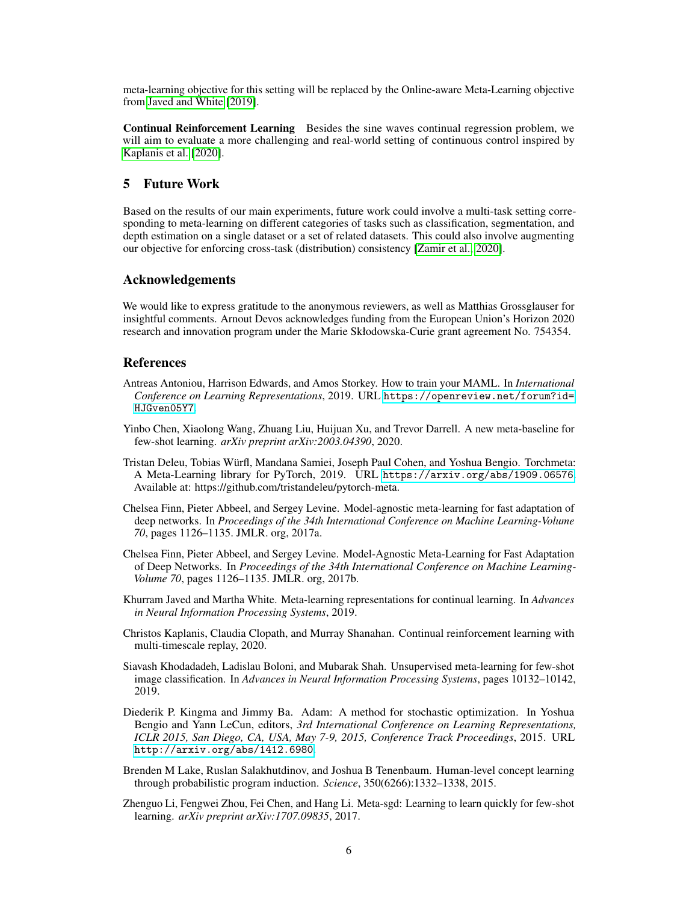meta-learning objective for this setting will be replaced by the Online-aware Meta-Learning objective from [Javed and White](#page-5-9) [\[2019\]](#page-5-9).

Continual Reinforcement Learning Besides the sine waves continual regression problem, we will aim to evaluate a more challenging and real-world setting of continuous control inspired by [Kaplanis et al.](#page-5-10) [\[2020\]](#page-5-10).

# 5 Future Work

Based on the results of our main experiments, future work could involve a multi-task setting corresponding to meta-learning on different categories of tasks such as classification, segmentation, and depth estimation on a single dataset or a set of related datasets. This could also involve augmenting our objective for enforcing cross-task (distribution) consistency [\[Zamir et al., 2020\]](#page-6-12).

#### Acknowledgements

We would like to express gratitude to the anonymous reviewers, as well as Matthias Grossglauser for insightful comments. Arnout Devos acknowledges funding from the European Union's Horizon 2020 research and innovation program under the Marie Skłodowska-Curie grant agreement No. 754354.

## References

- <span id="page-5-3"></span>Antreas Antoniou, Harrison Edwards, and Amos Storkey. How to train your MAML. In *International Conference on Learning Representations*, 2019. URL [https://openreview.net/forum?id=](https://openreview.net/forum?id=HJGven05Y7) [HJGven05Y7](https://openreview.net/forum?id=HJGven05Y7).
- <span id="page-5-4"></span>Yinbo Chen, Xiaolong Wang, Zhuang Liu, Huijuan Xu, and Trevor Darrell. A new meta-baseline for few-shot learning. *arXiv preprint arXiv:2003.04390*, 2020.
- <span id="page-5-5"></span>Tristan Deleu, Tobias Würfl, Mandana Samiei, Joseph Paul Cohen, and Yoshua Bengio. Torchmeta: A Meta-Learning library for PyTorch, 2019. URL <https://arxiv.org/abs/1909.06576>. Available at: https://github.com/tristandeleu/pytorch-meta.
- <span id="page-5-0"></span>Chelsea Finn, Pieter Abbeel, and Sergey Levine. Model-agnostic meta-learning for fast adaptation of deep networks. In *Proceedings of the 34th International Conference on Machine Learning-Volume 70*, pages 1126–1135. JMLR. org, 2017a.
- <span id="page-5-1"></span>Chelsea Finn, Pieter Abbeel, and Sergey Levine. Model-Agnostic Meta-Learning for Fast Adaptation of Deep Networks. In *Proceedings of the 34th International Conference on Machine Learning-Volume 70*, pages 1126–1135. JMLR. org, 2017b.
- <span id="page-5-9"></span>Khurram Javed and Martha White. Meta-learning representations for continual learning. In *Advances in Neural Information Processing Systems*, 2019.
- <span id="page-5-10"></span>Christos Kaplanis, Claudia Clopath, and Murray Shanahan. Continual reinforcement learning with multi-timescale replay, 2020.
- <span id="page-5-8"></span>Siavash Khodadadeh, Ladislau Boloni, and Mubarak Shah. Unsupervised meta-learning for few-shot image classification. In *Advances in Neural Information Processing Systems*, pages 10132–10142, 2019.
- <span id="page-5-6"></span>Diederik P. Kingma and Jimmy Ba. Adam: A method for stochastic optimization. In Yoshua Bengio and Yann LeCun, editors, *3rd International Conference on Learning Representations, ICLR 2015, San Diego, CA, USA, May 7-9, 2015, Conference Track Proceedings*, 2015. URL <http://arxiv.org/abs/1412.6980>.
- <span id="page-5-7"></span>Brenden M Lake, Ruslan Salakhutdinov, and Joshua B Tenenbaum. Human-level concept learning through probabilistic program induction. *Science*, 350(6266):1332–1338, 2015.
- <span id="page-5-2"></span>Zhenguo Li, Fengwei Zhou, Fei Chen, and Hang Li. Meta-sgd: Learning to learn quickly for few-shot learning. *arXiv preprint arXiv:1707.09835*, 2017.